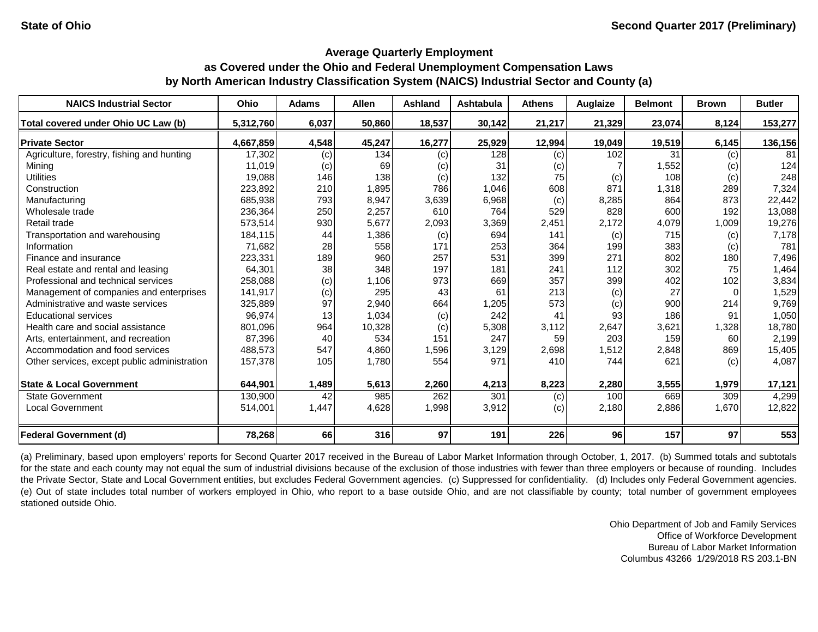#### **Average Quarterly Employment**

# **as Covered under the Ohio and Federal Unemployment Compensation Laws by North American Industry Classification System (NAICS) Industrial Sector and County (a)**

| <b>NAICS Industrial Sector</b>               | <b>Ohio</b> | <b>Adams</b> | <b>Allen</b> | Ashland | Ashtabula | <b>Athens</b> | Auglaize | <b>Belmont</b> | <b>Brown</b> | <b>Butler</b> |
|----------------------------------------------|-------------|--------------|--------------|---------|-----------|---------------|----------|----------------|--------------|---------------|
| Total covered under Ohio UC Law (b)          | 5,312,760   | 6,037        | 50,860       | 18,537  | 30,142    | 21,217        | 21,329   | 23,074         | 8,124        | 153,277       |
| <b>Private Sector</b>                        | 4,667,859   | 4,548        | 45,247       | 16,277  | 25,929    | 12,994        | 19,049   | 19,519         | 6,145        | 136,156       |
| Agriculture, forestry, fishing and hunting   | 17,302      | (c)          | 134          | (c)     | 128       | (c)           | 102      | 31             | (c)          | 81            |
| Mining                                       | 11,019      | (c)          | 69           | (c)     | 31        | (c)           |          | 1,552          | (c)          | 124           |
| <b>Utilities</b>                             | 19,088      | 146          | 138          | (c)     | 132       | 75            | (c)      | 108            | (c)          | 248           |
| Construction                                 | 223,892     | 210          | 1,895        | 786     | 1,046     | 608           | 871      | 1,318          | 289          | 7,324         |
| Manufacturing                                | 685,938     | 793          | 8,947        | 3,639   | 6,968     | (c)           | 8,285    | 864            | 873          | 22,442        |
| Wholesale trade                              | 236,364     | 250          | 2,257        | 610     | 764       | 529           | 828      | 600            | 192          | 13,088        |
| Retail trade                                 | 573,514     | 930          | 5,677        | 2,093   | 3,369     | 2,451         | 2,172    | 4,079          | 1,009        | 19,276        |
| Transportation and warehousing               | 184,115     | 44           | 1,386        | (c)     | 694       | 141           | (c)      | 715            | (c)          | 7,178         |
| Information                                  | 71,682      | 28           | 558          | 171     | 253       | 364           | 199      | 383            | (c)          | 781           |
| Finance and insurance                        | 223,331     | 189          | 960          | 257     | 531       | 399           | 271      | 802            | 180          | 7,496         |
| Real estate and rental and leasing           | 64,301      | 38           | 348          | 197     | 181       | 241           | 112      | 302            | 75           | 1,464         |
| Professional and technical services          | 258,088     | (c)          | 1,106        | 973     | 669       | 357           | 399      | 402            | 102          | 3,834         |
| Management of companies and enterprises      | 141,917     | (c)          | 295          | 43      | 61        | 213           | (c)      | 27             |              | 1,529         |
| Administrative and waste services            | 325,889     | 97           | 2,940        | 664     | 1,205     | 573           | (c)      | 900            | 214          | 9,769         |
| <b>Educational services</b>                  | 96,974      | 13           | 1,034        | (c)     | 242       | 41            | 93       | 186            | 91           | 1,050         |
| Health care and social assistance            | 801,096     | 964          | 10,328       | (c)     | 5,308     | 3,112         | 2,647    | 3,621          | 1,328        | 18,780        |
| Arts, entertainment, and recreation          | 87,396      | 40           | 534          | 151     | 247       | 59            | 203      | 159            | 60           | 2,199         |
| Accommodation and food services              | 488,573     | 547          | 4,860        | 1,596   | 3,129     | 2,698         | 1,512    | 2,848          | 869          | 15,405        |
| Other services, except public administration | 157,378     | 105          | 1,780        | 554     | 971       | 410           | 744      | 621            | (c)          | 4,087         |
| <b>State &amp; Local Government</b>          | 644,901     | 1,489        | 5,613        | 2,260   | 4,213     | 8,223         | 2,280    | 3,555          | 1,979        | 17,121        |
| <b>State Government</b>                      | 130,900     | 42           | 985          | 262     | 301       | (c)           | 100      | 669            | 309          | 4,299         |
| <b>Local Government</b>                      | 514,001     | 1,447        | 4,628        | 1,998   | 3,912     | (c)           | 2,180    | 2,886          | 1,670        | 12,822        |
| <b>Federal Government (d)</b>                | 78,268      | 66           | 316          | 97      | 191       | 226           | 96       | 157            | 97           | 553           |

(a) Preliminary, based upon employers' reports for Second Quarter 2017 received in the Bureau of Labor Market Information through October, 1, 2017. (b) Summed totals and subtotals for the state and each county may not equal the sum of industrial divisions because of the exclusion of those industries with fewer than three employers or because of rounding. Includes the Private Sector, State and Local Government entities, but excludes Federal Government agencies. (c) Suppressed for confidentiality. (d) Includes only Federal Government agencies. (e) Out of state includes total number of workers employed in Ohio, who report to a base outside Ohio, and are not classifiable by county; total number of government employees stationed outside Ohio.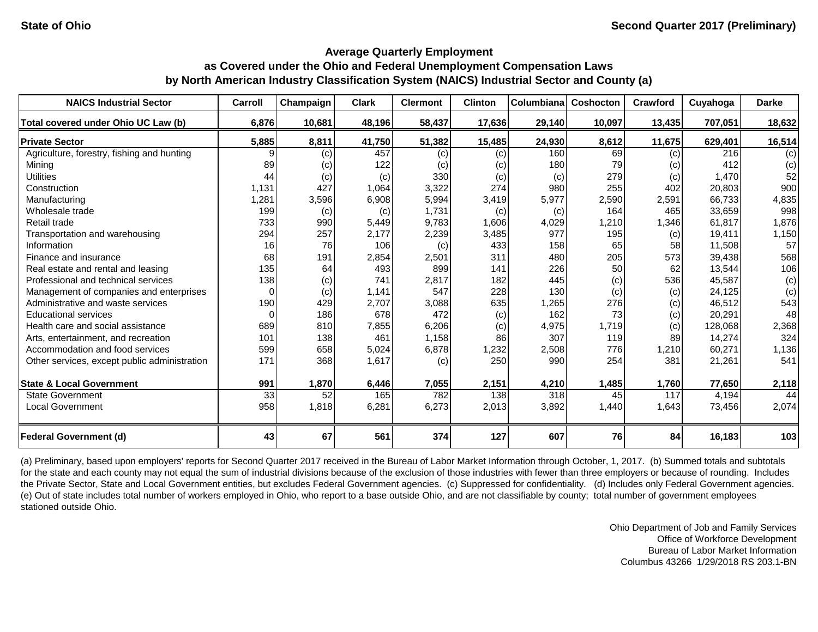| <b>NAICS Industrial Sector</b>               | Carroll  | Champaign | <b>Clark</b> | <b>Clermont</b> | <b>Clinton</b> | Columbiana | Coshocton | Crawford | Cuyahoga | <b>Darke</b> |
|----------------------------------------------|----------|-----------|--------------|-----------------|----------------|------------|-----------|----------|----------|--------------|
| Total covered under Ohio UC Law (b)          | 6,876    | 10,681    | 48,196       | 58,437          | 17,636         | 29,140     | 10,097    | 13,435   | 707,051  | 18,632       |
| <b>Private Sector</b>                        | 5,885    | 8,811     | 41,750       | 51,382          | 15,485         | 24,930     | 8,612     | 11,675   | 629,401  | 16,514       |
| Agriculture, forestry, fishing and hunting   |          | (c)       | 457          | (c)             | (c)            | 160        | 69        | (c)      | 216      | (c)          |
| Mining                                       | 89       | (c)       | 122          | (c)             | (c)            | 180        | 79        | (c)      | 412      | (c)          |
| <b>Utilities</b>                             | 44       | (c)       | (c)          | 330             | (c)            | (c)        | 279       | (c)      | 1,470    | 52           |
| Construction                                 | 1,131    | 427       | 1,064        | 3,322           | 274            | 980        | 255       | 402      | 20,803   | 900          |
| Manufacturing                                | 1,281    | 3,596     | 6,908        | 5,994           | 3,419          | 5,977      | 2,590     | 2,591    | 66,733   | 4,835        |
| Wholesale trade                              | 199      | (c)       | (c)          | 1,731           | (c)            | (c)        | 164       | 465      | 33,659   | 998          |
| Retail trade                                 | 733      | 990       | 5,449        | 9,783           | 1,606          | 4,029      | 1,210     | 1,346    | 61,817   | 1,876        |
| Transportation and warehousing               | 294      | 257       | 2,177        | 2,239           | 3,485          | 977        | 195       | (c)      | 19,411   | 1,150        |
| Information                                  | 16       | 76        | 106          | (c)             | 433            | 158        | 65        | 58       | 11,508   | 57           |
| Finance and insurance                        | 68       | 191       | 2,854        | 2,501           | 311            | 480        | 205       | 573      | 39,438   | 568          |
| Real estate and rental and leasing           | 135      | 64        | 493          | 899             | 141            | 226        | 50        | 62       | 13,544   | 106          |
| Professional and technical services          | 138      | (c)       | 741          | 2,817           | 182            | 445        | (c)       | 536      | 45,587   | (c)          |
| Management of companies and enterprises      | $\Omega$ | (c)       | 1,141        | 547             | 228            | 130        | (c)       | (c)      | 24,125   | (c)          |
| Administrative and waste services            | 190      | 429       | 2,707        | 3,088           | 635            | 1,265      | 276       | (c)      | 46,512   | 543          |
| <b>Educational services</b>                  | $\Omega$ | 186       | 678          | 472             | (c)            | 162        | 73        | (c)      | 20,291   | 48           |
| Health care and social assistance            | 689      | 810       | 7,855        | 6,206           | (c)            | 4,975      | 1,719     | (c)      | 128,068  | 2,368        |
| Arts, entertainment, and recreation          | 101      | 138       | 461          | 1,158           | 86             | 307        | 119       | 89       | 14,274   | 324          |
| Accommodation and food services              | 599      | 658       | 5,024        | 6,878           | 1,232          | 2,508      | 776       | 1,210    | 60,271   | 1,136        |
| Other services, except public administration | 171      | 368       | 1,617        | (c)             | 250            | 990        | 254       | 381      | 21,261   | 541          |
| <b>State &amp; Local Government</b>          | 991      | 1,870     | 6,446        | 7,055           | 2,151          | 4,210      | 1,485     | 1,760    | 77,650   | 2,118        |
| <b>State Government</b>                      | 33       | 52        | 165          | 782             | 138            | 318        | 45        | 117      | 4,194    | 44           |
| <b>Local Government</b>                      | 958      | 1,818     | 6,281        | 6,273           | 2,013          | 3,892      | 1,440     | 1,643    | 73,456   | 2,074        |
| <b>Federal Government (d)</b>                | 43       | 67        | 561          | 374             | 127            | 607        | 76        | 84       | 16,183   | 103          |

(a) Preliminary, based upon employers' reports for Second Quarter 2017 received in the Bureau of Labor Market Information through October, 1, 2017. (b) Summed totals and subtotals for the state and each county may not equal the sum of industrial divisions because of the exclusion of those industries with fewer than three employers or because of rounding. Includes the Private Sector, State and Local Government entities, but excludes Federal Government agencies. (c) Suppressed for confidentiality. (d) Includes only Federal Government agencies. (e) Out of state includes total number of workers employed in Ohio, who report to a base outside Ohio, and are not classifiable by county; total number of government employees stationed outside Ohio.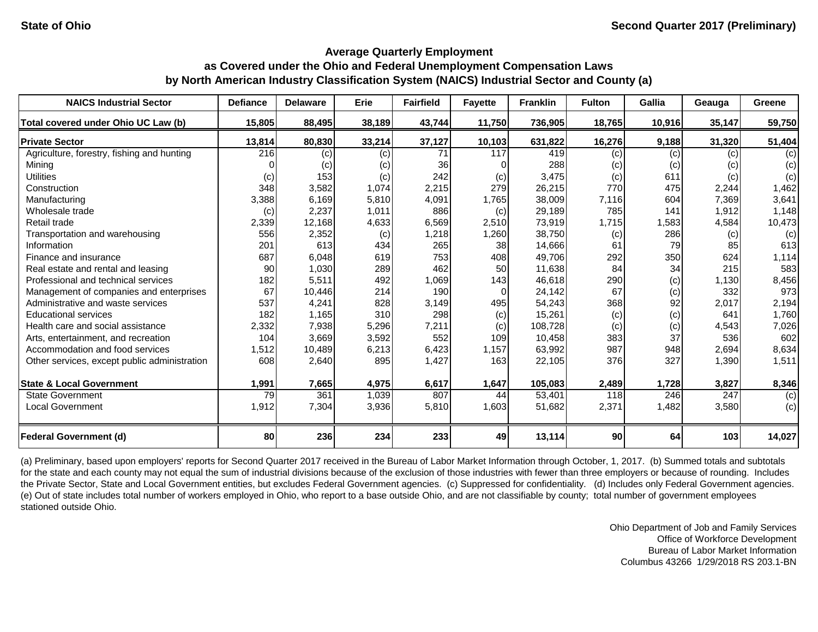| <b>NAICS Industrial Sector</b>               | <b>Defiance</b> | <b>Delaware</b> | Erie   | <b>Fairfield</b> | <b>Fayette</b> | <b>Franklin</b> | <b>Fulton</b>   | Gallia | Geauga | Greene |
|----------------------------------------------|-----------------|-----------------|--------|------------------|----------------|-----------------|-----------------|--------|--------|--------|
| Total covered under Ohio UC Law (b)          | 15,805          | 88,495          | 38,189 | 43,744           | 11,750         | 736,905         | 18,765          | 10,916 | 35,147 | 59,750 |
| <b>Private Sector</b>                        | 13,814          | 80,830          | 33,214 | 37,127           | 10,103         | 631,822         | 16,276          | 9,188  | 31,320 | 51,404 |
| Agriculture, forestry, fishing and hunting   | 216             | (c)             | (c)    | 71               | 117            | 419             | (c)             | (c)    | (c)    | (c)    |
| Mining                                       |                 | (c)             | (c)    | 36               |                | 288             | (c)             | (c)    | (c)    | (c)    |
| <b>Utilities</b>                             | (c)             | 153             | (c)    | 242              | (c)            | 3,475           | (c)             | 611    | (c)    | (c)    |
| Construction                                 | 348             | 3,582           | 1,074  | 2,215            | 279            | 26,215          | 770             | 475    | 2,244  | 1,462  |
| Manufacturing                                | 3,388           | 6,169           | 5,810  | 4,091            | 1,765          | 38,009          | 7,116           | 604    | 7,369  | 3,641  |
| Wholesale trade                              | (c)             | 2,237           | 1,011  | 886              | (c)            | 29,189          | 785             | 141    | 1,912  | 1,148  |
| Retail trade                                 | 2,339           | 12,168          | 4,633  | 6,569            | 2,510          | 73,919          | 1,715           | 1,583  | 4,584  | 10,473 |
| Transportation and warehousing               | 556             | 2,352           | (c)    | 1,218            | 1,260          | 38,750          | (c)             | 286    | (c)    | (c)    |
| Information                                  | 201             | 613             | 434    | 265              | 38             | 14,666          | 61              | 79     | 85     | 613    |
| Finance and insurance                        | 687             | 6,048           | 619    | 753              | 408            | 49,706          | 292             | 350    | 624    | 1,114  |
| Real estate and rental and leasing           | 90              | 1,030           | 289    | 462              | 50             | 11,638          | 84              | 34     | 215    | 583    |
| Professional and technical services          | 182             | 5,511           | 492    | 1,069            | 143            | 46,618          | 290             | (c)    | 1,130  | 8,456  |
| Management of companies and enterprises      | 67              | 10,446          | 214    | 190              | $\Omega$       | 24,142          | 67              | (c)    | 332    | 973    |
| Administrative and waste services            | 537             | 4,241           | 828    | 3,149            | 495            | 54,243          | 368             | 92     | 2,017  | 2,194  |
| <b>Educational services</b>                  | 182             | 1,165           | 310    | 298              | (c)            | 15,261          | (c)             | (c)    | 641    | 1,760  |
| Health care and social assistance            | 2,332           | 7,938           | 5,296  | 7,211            | (c)            | 108,728         | (c)             | (c)    | 4,543  | 7,026  |
| Arts, entertainment, and recreation          | 104             | 3,669           | 3,592  | 552              | 109            | 10,458          | 383             | 37     | 536    | 602    |
| Accommodation and food services              | 1,512           | 10,489          | 6,213  | 6,423            | 1,157          | 63,992          | 987             | 948    | 2,694  | 8,634  |
| Other services, except public administration | 608             | 2,640           | 895    | 1,427            | 163            | 22,105          | 376             | 327    | 1,390  | 1,511  |
| <b>State &amp; Local Government</b>          | 1,991           | 7,665           | 4,975  | 6,617            | 1,647          | 105,083         | 2,489           | 1,728  | 3,827  | 8,346  |
| <b>State Government</b>                      | 79              | 361             | 1,039  | 807              | 44             | 53,401          | 118             | 246    | 247    | (c)    |
| <b>Local Government</b>                      | 1,912           | 7,304           | 3,936  | 5,810            | 1,603          | 51,682          | 2,371           | 1,482  | 3,580  | (c)    |
| <b>Federal Government (d)</b>                | 80              | 236             | 234    | 233              | 49             | 13,114          | 90 <sub>l</sub> | 64     | 103    | 14,027 |

(a) Preliminary, based upon employers' reports for Second Quarter 2017 received in the Bureau of Labor Market Information through October, 1, 2017. (b) Summed totals and subtotals for the state and each county may not equal the sum of industrial divisions because of the exclusion of those industries with fewer than three employers or because of rounding. Includes the Private Sector, State and Local Government entities, but excludes Federal Government agencies. (c) Suppressed for confidentiality. (d) Includes only Federal Government agencies. (e) Out of state includes total number of workers employed in Ohio, who report to a base outside Ohio, and are not classifiable by county; total number of government employees stationed outside Ohio.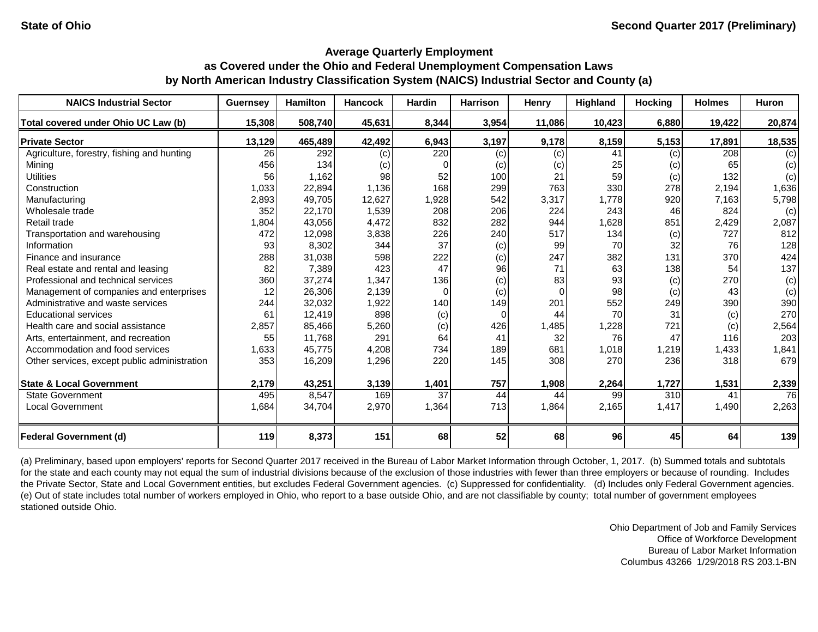| <b>NAICS Industrial Sector</b>               | <b>Guernsey</b> | <b>Hamilton</b> | <b>Hancock</b> | <b>Hardin</b>  | <b>Harrison</b> | <b>Henry</b> | <b>Highland</b> | <b>Hocking</b>   | <b>Holmes</b> | Huron  |
|----------------------------------------------|-----------------|-----------------|----------------|----------------|-----------------|--------------|-----------------|------------------|---------------|--------|
| Total covered under Ohio UC Law (b)          | 15,308          | 508,740         | 45,631         | 8,344          | 3,954           | 11,086       | 10,423          | 6,880            | 19,422        | 20,874 |
| <b>Private Sector</b>                        | 13,129          | 465,489         | 42,492         | 6,943          | 3,197           | 9,178        | 8,159           | 5,153            | 17,891        | 18,535 |
| Agriculture, forestry, fishing and hunting   | 26              | 292             | (c)            | 220            | (c)             | (c)          | 41              | (c)              | 208           | (c)    |
| Mining                                       | 456             | 134             | (c)            | 0              | (c)             | (c)          | 25              | (c)              | 65            | (c)    |
| <b>Utilities</b>                             | 56              | 1,162           | 98             | 52             | 100             | 21           | 59              | (c)              | 132           | (c)    |
| Construction                                 | 1,033           | 22,894          | 1,136          | 168            | 299             | 763          | 330             | 278              | 2,194         | 1,636  |
| Manufacturing                                | 2,893           | 49,705          | 12,627         | 1,928          | 542             | 3,317        | 1,778           | 920              | 7,163         | 5,798  |
| Wholesale trade                              | 352             | 22,170          | 1,539          | 208            | 206             | 224          | 243             | 46               | 824           | (c)    |
| Retail trade                                 | 1,804           | 43,056          | 4,472          | 832            | 282             | 944          | 1,628           | 851              | 2,429         | 2,087  |
| Transportation and warehousing               | 472             | 12,098          | 3,838          | 226            | 240             | 517          | 134             | (c)              | 727           | 812    |
| Information                                  | 93              | 8,302           | 344            | 37             | (c)             | 99           | 70              | 32               | 76            | 128    |
| Finance and insurance                        | 288             | 31,038          | 598            | 222            | (c)             | 247          | 382             | 131              | 370           | 424    |
| Real estate and rental and leasing           | 82              | 7,389           | 423            | 47             | 96              | 71           | 63              | 138              | 54            | 137    |
| Professional and technical services          | 360             | 37,274          | 1,347          | 136            | (c)             | 83           | 93              | (c)              | 270           | (c)    |
| Management of companies and enterprises      | 12              | 26,306          | 2,139          | $\overline{O}$ | (c)             | $\Omega$     | 98              | (c)              | 43            | (c)    |
| Administrative and waste services            | 244             | 32,032          | 1,922          | 140            | 149             | 201          | 552             | 249              | 390           | 390    |
| <b>Educational services</b>                  | 61              | 12,419          | 898            | (c)            | 0               | 44           | 70              | 31               | (c)           | 270    |
| Health care and social assistance            | 2,857           | 85,466          | 5,260          | (c)            | 426             | 1,485        | 1,228           | 721              | (c)           | 2,564  |
| Arts, entertainment, and recreation          | 55              | 11,768          | 291            | 64             | 41              | 32           | 76              | 47               | 116           | 203    |
| Accommodation and food services              | 1,633           | 45,775          | 4,208          | 734            | 189             | 681          | 1,018           | 1,219            | 1,433         | 1,841  |
| Other services, except public administration | 353             | 16,209          | 1,296          | 220            | 145             | 308          | 270             | 236              | 318           | 679    |
| <b>State &amp; Local Government</b>          | 2,179           | 43,251          | 3,139          | 1,401          | 757             | 1,908        | 2,264           | 1,727            | 1,531         | 2,339  |
| <b>State Government</b>                      | 495             | 8,547           | 169            | 37             | 44              | 44           | 99              | 310 <sup>1</sup> | 41            | 76     |
| <b>Local Government</b>                      | 1,684           | 34,704          | 2,970          | 1,364          | 713             | 1,864        | 2,165           | 1,417            | 1,490         | 2,263  |
| <b>Federal Government (d)</b>                | 119             | 8,373           | 151            | 68             | 52              | 68           | 96              | 45               | 64            | 139    |

(a) Preliminary, based upon employers' reports for Second Quarter 2017 received in the Bureau of Labor Market Information through October, 1, 2017. (b) Summed totals and subtotals for the state and each county may not equal the sum of industrial divisions because of the exclusion of those industries with fewer than three employers or because of rounding. Includes the Private Sector, State and Local Government entities, but excludes Federal Government agencies. (c) Suppressed for confidentiality. (d) Includes only Federal Government agencies. (e) Out of state includes total number of workers employed in Ohio, who report to a base outside Ohio, and are not classifiable by county; total number of government employees stationed outside Ohio.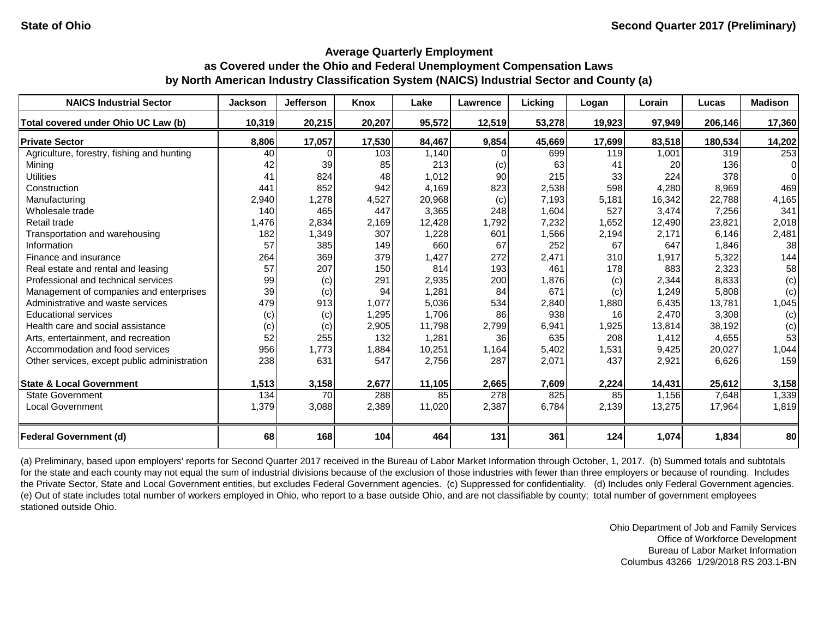| <b>NAICS Industrial Sector</b>               | <b>Jackson</b> | <b>Jefferson</b> | Knox   | Lake   | Lawrence | Licking | Logan  | Lorain | Lucas   | <b>Madison</b> |
|----------------------------------------------|----------------|------------------|--------|--------|----------|---------|--------|--------|---------|----------------|
| Total covered under Ohio UC Law (b)          | 10,319         | 20,215           | 20,207 | 95,572 | 12,519   | 53,278  | 19,923 | 97,949 | 206,146 | 17,360         |
| <b>Private Sector</b>                        | 8,806          | 17,057           | 17,530 | 84,467 | 9,854    | 45,669  | 17,699 | 83,518 | 180,534 | 14,202         |
| Agriculture, forestry, fishing and hunting   | 40             |                  | 103    | 1,140  |          | 699     | 119    | 1,001  | 319     | 253            |
| Mining                                       | 42             | 39               | 85     | 213    | (c)      | 63      | 41     | 20     | 136     | $\Omega$       |
| <b>Utilities</b>                             | 41             | 824              | 48     | 1,012  | 90       | 215     | 33     | 224    | 378     | $\Omega$       |
| Construction                                 | 441            | 852              | 942    | 4,169  | 823      | 2,538   | 598    | 4,280  | 8,969   | 469            |
| Manufacturing                                | 2,940          | 1,278            | 4,527  | 20,968 | (c)      | 7,193   | 5,181  | 16,342 | 22,788  | 4,165          |
| Wholesale trade                              | 140            | 465              | 447    | 3,365  | 248      | 1,604   | 527    | 3,474  | 7,256   | 341            |
| Retail trade                                 | 1,476          | 2,834            | 2,169  | 12,428 | 1,792    | 7,232   | 1,652  | 12,490 | 23,821  | 2,018          |
| Transportation and warehousing               | 182            | 1,349            | 307    | 1,228  | 601      | 1,566   | 2,194  | 2,171  | 6,146   | 2,481          |
| Information                                  | 57             | 385              | 149    | 660    | 67       | 252     | 67     | 647    | 1,846   | 38             |
| Finance and insurance                        | 264            | 369              | 379    | 1,427  | 272      | 2,471   | 310    | 1,917  | 5,322   | 144            |
| Real estate and rental and leasing           | 57             | 207              | 150    | 814    | 193      | 461     | 178    | 883    | 2,323   | 58             |
| Professional and technical services          | 99             | (c)              | 291    | 2,935  | 200      | 1,876   | (c)    | 2,344  | 8,833   | (c)            |
| Management of companies and enterprises      | 39             | (c)              | 94     | 1,281  | 84       | 671     | (c)    | 1,249  | 5,808   | (c)            |
| Administrative and waste services            | 479            | 913              | 1,077  | 5,036  | 534      | 2,840   | 1,880  | 6,435  | 13,781  | 1,045          |
| <b>Educational services</b>                  | (c)            | (c)              | 1,295  | 1,706  | 86       | 938     | 16     | 2,470  | 3,308   | (c)            |
| Health care and social assistance            | (c)            | (c)              | 2,905  | 11,798 | 2,799    | 6,941   | 1,925  | 13,814 | 38,192  | (c)            |
| Arts, entertainment, and recreation          | 52             | 255              | 132    | 1,281  | 36       | 635     | 208    | 1,412  | 4,655   | 53             |
| Accommodation and food services              | 956            | 1,773            | 1,884  | 10,251 | 1,164    | 5,402   | 1,531  | 9,425  | 20,027  | 1,044          |
| Other services, except public administration | 238            | 631              | 547    | 2,756  | 287      | 2,071   | 437    | 2,921  | 6,626   | 159            |
| <b>State &amp; Local Government</b>          | 1,513          | 3,158            | 2,677  | 11,105 | 2,665    | 7,609   | 2,224  | 14,431 | 25,612  | 3,158          |
| <b>State Government</b>                      | 134            | 70               | 288    | 85     | 278      | 825     | 85     | 1,156  | 7,648   | 1,339          |
| <b>Local Government</b>                      | 1,379          | 3,088            | 2,389  | 11,020 | 2,387    | 6,784   | 2,139  | 13,275 | 17,964  | 1,819          |
| <b>Federal Government (d)</b>                | 68             | 168              | 104    | 464    | 131      | 361     | 124    | 1,074  | 1,834   | 80             |

(a) Preliminary, based upon employers' reports for Second Quarter 2017 received in the Bureau of Labor Market Information through October, 1, 2017. (b) Summed totals and subtotals for the state and each county may not equal the sum of industrial divisions because of the exclusion of those industries with fewer than three employers or because of rounding. Includes the Private Sector, State and Local Government entities, but excludes Federal Government agencies. (c) Suppressed for confidentiality. (d) Includes only Federal Government agencies. (e) Out of state includes total number of workers employed in Ohio, who report to a base outside Ohio, and are not classifiable by county; total number of government employees stationed outside Ohio.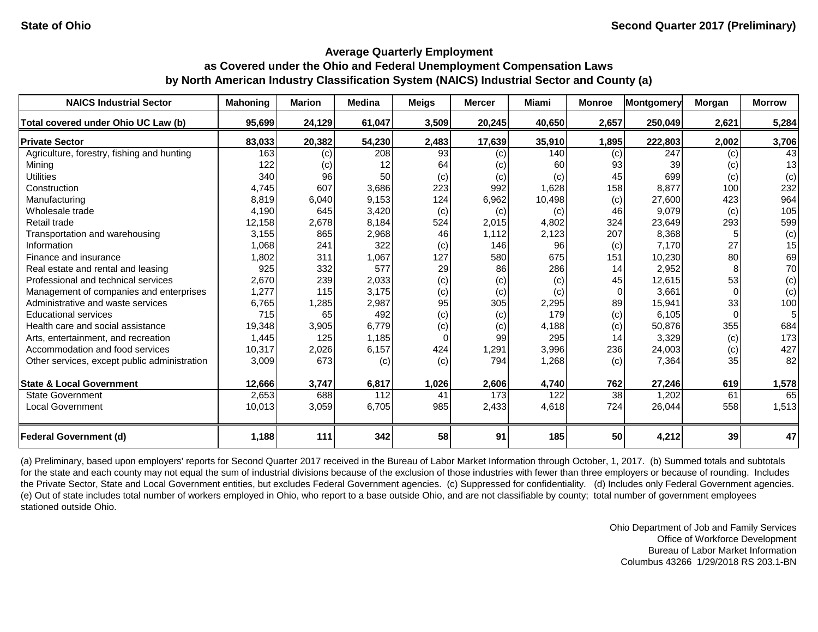| <b>NAICS Industrial Sector</b>               | <b>Mahoning</b> | <b>Marion</b> | <b>Medina</b> | <b>Meigs</b> | <b>Mercer</b> | Miami  | <b>Monroe</b> | <b>Montgomery</b> | <b>Morgan</b> | <b>Morrow</b>  |
|----------------------------------------------|-----------------|---------------|---------------|--------------|---------------|--------|---------------|-------------------|---------------|----------------|
| Total covered under Ohio UC Law (b)          | 95,699          | 24,129        | 61,047        | 3,509        | 20,245        | 40,650 | 2,657         | 250,049           | 2,621         | 5,284          |
| <b>Private Sector</b>                        | 83,033          | 20,382        | 54,230        | 2,483        | 17,639        | 35,910 | 1,895         | 222,803           | 2,002         | 3,706          |
| Agriculture, forestry, fishing and hunting   | 163             | (c)           | 208           | 93           | (c)           | 140    | (c)           | 247               | (c)           | 43             |
| Mining                                       | 122             | (c)           | 12            | 64           | (c)           | 60     | 93            | 39                | (c)           | 13             |
| <b>Utilities</b>                             | 340             | 96            | 50            | (c)          | (c)           | (c)    | 45            | 699               | (c)           | (c)            |
| Construction                                 | 4,745           | 607           | 3,686         | 223          | 992           | 1,628  | 158           | 8,877             | 100           | 232            |
| Manufacturing                                | 8,819           | 6,040         | 9,153         | 124          | 6,962         | 10,498 | (c)           | 27,600            | 423           | 964            |
| Wholesale trade                              | 4,190           | 645           | 3,420         | (c)          | (c)           | (c)    | 46            | 9,079             | (c)           | 105            |
| Retail trade                                 | 12,158          | 2,678         | 8,184         | 524          | 2,015         | 4,802  | 324           | 23,649            | 293           | 599            |
| Transportation and warehousing               | 3,155           | 865           | 2,968         | 46           | 1,112         | 2,123  | 207           | 8,368             |               | (c)            |
| Information                                  | 1,068           | 241           | 322           | (c)          | 146           | 96     | (c)           | 7,170             | 27            | 15             |
| Finance and insurance                        | 1,802           | 311           | 1,067         | 127          | 580           | 675    | 151           | 10,230            | 80            | 69             |
| Real estate and rental and leasing           | 925             | 332           | 577           | 29           | 86            | 286    | 14            | 2,952             |               | 70             |
| Professional and technical services          | 2,670           | 239           | 2,033         | (c)          | (c)           | (c)    | 45            | 12,615            | 53            | (c)            |
| Management of companies and enterprises      | 1,277           | 115           | 3,175         | (c)          | (c)           | (c)    | $\Omega$      | 3,661             |               | (c)            |
| Administrative and waste services            | 6,765           | 1,285         | 2,987         | 95           | 305           | 2,295  | 89            | 15,941            | 33            | 100            |
| <b>Educational services</b>                  | 715             | 65            | 492           | (c)          | (c)           | 179    | (c)           | 6,105             |               | 5 <sup>1</sup> |
| Health care and social assistance            | 19,348          | 3,905         | 6,779         | (c)          | (c)           | 4,188  | (c)           | 50,876            | 355           | 684            |
| Arts, entertainment, and recreation          | 1,445           | 125           | 1,185         | 0            | 99            | 295    | 14            | 3,329             | (c)           | 173            |
| Accommodation and food services              | 10,317          | 2,026         | 6,157         | 424          | 1,291         | 3,996  | 236           | 24,003            | (c)           | 427            |
| Other services, except public administration | 3,009           | 673           | (c)           | (c)          | 794           | 1,268  | (c)           | 7,364             | 35            | 82             |
| <b>State &amp; Local Government</b>          | 12,666          | 3,747         | 6,817         | 1,026        | 2,606         | 4,740  | 762           | 27,246            | 619           | 1,578          |
| <b>State Government</b>                      | 2,653           | 688           | 112           | 41           | 173           | 122    | 38            | 1,202             | 61            | 65             |
| <b>Local Government</b>                      | 10,013          | 3,059         | 6,705         | 985          | 2,433         | 4,618  | 724           | 26,044            | 558           | 1,513          |
| <b>Federal Government (d)</b>                | 1,188           | 111           | 342           | 58           | 91            | 185    | 50            | 4,212             | 39            | 47             |

(a) Preliminary, based upon employers' reports for Second Quarter 2017 received in the Bureau of Labor Market Information through October, 1, 2017. (b) Summed totals and subtotals for the state and each county may not equal the sum of industrial divisions because of the exclusion of those industries with fewer than three employers or because of rounding. Includes the Private Sector, State and Local Government entities, but excludes Federal Government agencies. (c) Suppressed for confidentiality. (d) Includes only Federal Government agencies. (e) Out of state includes total number of workers employed in Ohio, who report to a base outside Ohio, and are not classifiable by county; total number of government employees stationed outside Ohio.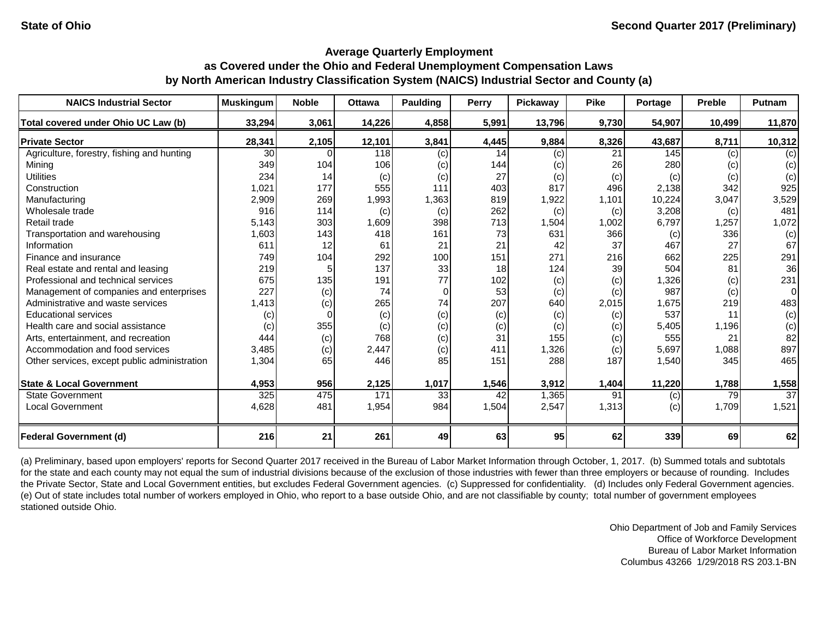| <b>NAICS Industrial Sector</b>               | <b>Muskingum</b> | <b>Noble</b> | <b>Ottawa</b> | <b>Paulding</b> | <b>Perry</b> | <b>Pickaway</b> | <b>Pike</b> | Portage | Preble | Putnam |
|----------------------------------------------|------------------|--------------|---------------|-----------------|--------------|-----------------|-------------|---------|--------|--------|
| Total covered under Ohio UC Law (b)          | 33,294           | 3,061        | 14,226        | 4,858           | 5,991        | 13,796          | 9,730       | 54,907  | 10,499 | 11,870 |
| <b>Private Sector</b>                        | 28,341           | 2,105        | 12,101        | 3,841           | 4,445        | 9,884           | 8,326       | 43,687  | 8,711  | 10,312 |
| Agriculture, forestry, fishing and hunting   | 30               |              | <b>118</b>    | (c)             | 14           | (c)             | 21          | 145     | (c)    | (c)    |
| Mining                                       | 349              | 104          | 106           | (c)             | 144          | (c)             | 26          | 280     | (c)    | (c)    |
| <b>Utilities</b>                             | 234              | 14           | (c)           | (c)             | 27           | (c)             | (c)         | (c)     | (c)    | (c)    |
| Construction                                 | 1,021            | 177          | 555           | 111             | 403          | 817             | 496         | 2,138   | 342    | 925    |
| Manufacturing                                | 2,909            | 269          | 1,993         | 1,363           | 819          | 1,922           | 1,101       | 10,224  | 3,047  | 3,529  |
| Wholesale trade                              | 916              | 114          | (c)           | (c)             | 262          | (c)             | (c)         | 3,208   | (c)    | 481    |
| Retail trade                                 | 5,143            | 303          | 1,609         | 398             | 713          | 1,504           | 1,002       | 6,797   | 1,257  | 1,072  |
| Transportation and warehousing               | 1,603            | 143          | 418           | 161             | 73           | 631             | 366         | (c)     | 336    | (c)    |
| Information                                  | 611              | 12           | 61            | 21              | 21           | 42              | 37          | 467     | 27     | 67     |
| Finance and insurance                        | 749              | 104          | 292           | 100             | 151          | 271             | 216         | 662     | 225    | 291    |
| Real estate and rental and leasing           | 219              |              | 137           | 33              | 18           | 124             | 39          | 504     | 81     | 36     |
| Professional and technical services          | 675              | 135          | 191           | 77              | 102          | (c)             | (c)         | 1,326   | (c)    | 231    |
| Management of companies and enterprises      | 227              | (c)          | 74            | 0               | 53           | (c)             | (c)         | 987     | (c)    | 0      |
| Administrative and waste services            | 1,413            | (c)          | 265           | 74              | 207          | 640             | 2,015       | 1,675   | 219    | 483    |
| <b>Educational services</b>                  | $\left( $        |              | (c)           | (c)             | (c)          | (c)             | (c)         | 537     | 11     | (c)    |
| Health care and social assistance            | (c)              | 355          | (c)           | (c)             | (c)          | (c)             | (c)         | 5,405   | 1,196  | (c)    |
| Arts, entertainment, and recreation          | 444              | (c)          | 768           | (c)             | 31           | 155             | (c)         | 555     | 21     | 82     |
| Accommodation and food services              | 3,485            | (c)          | 2,447         | (c)             | 411          | 1,326           | (c)         | 5,697   | 1,088  | 897    |
| Other services, except public administration | 1,304            | 65           | 446           | 85              | 151          | 288             | 187         | 1,540   | 345    | 465    |
| <b>State &amp; Local Government</b>          | 4,953            | 956          | 2,125         | 1,017           | 1,546        | 3,912           | 1,404       | 11,220  | 1,788  | 1,558  |
| <b>State Government</b>                      | 325              | 475          | 171           | 33              | 42           | 1,365           | 91          | (c)     | 79     | 37     |
| <b>Local Government</b>                      | 4,628            | 481          | 1,954         | 984             | 1,504        | 2,547           | 1,313       | (c)     | 1,709  | 1,521  |
| <b>Federal Government (d)</b>                | 216              | 21           | 261           | 49              | 63           | 95              | 62          | 339     | 69     | 62     |

(a) Preliminary, based upon employers' reports for Second Quarter 2017 received in the Bureau of Labor Market Information through October, 1, 2017. (b) Summed totals and subtotals for the state and each county may not equal the sum of industrial divisions because of the exclusion of those industries with fewer than three employers or because of rounding. Includes the Private Sector, State and Local Government entities, but excludes Federal Government agencies. (c) Suppressed for confidentiality. (d) Includes only Federal Government agencies. (e) Out of state includes total number of workers employed in Ohio, who report to a base outside Ohio, and are not classifiable by county; total number of government employees stationed outside Ohio.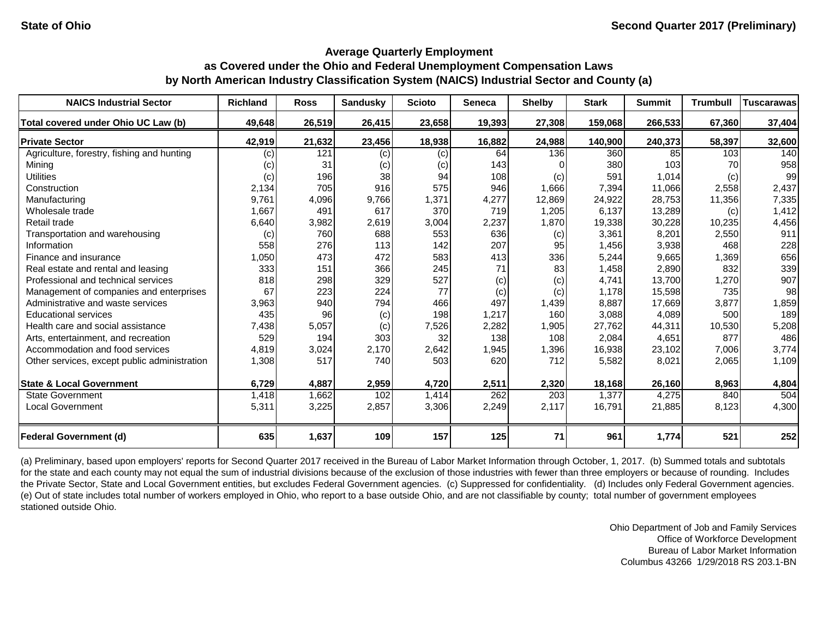| <b>NAICS Industrial Sector</b>               | <b>Richland</b> | <b>Ross</b> | <b>Sandusky</b> | <b>Scioto</b> | <b>Seneca</b> | <b>Shelby</b> | <b>Stark</b> | <b>Summit</b> | <b>Trumbull</b> | <b>Tuscarawas</b> |
|----------------------------------------------|-----------------|-------------|-----------------|---------------|---------------|---------------|--------------|---------------|-----------------|-------------------|
| Total covered under Ohio UC Law (b)          | 49,648          | 26,519      | 26,415          | 23,658        | 19,393        | 27,308        | 159,068      | 266,533       | 67,360          | 37,404            |
| <b>Private Sector</b>                        | 42,919          | 21,632      | 23,456          | 18,938        | 16,882        | 24,988        | 140,900      | 240,373       | 58,397          | 32,600            |
| Agriculture, forestry, fishing and hunting   | (c)             | 121         | (c)             | (c)           | 64            | 136           | 360          | 85            | 103             | 140               |
| Mining                                       | (c)             | 31          | (c)             | (c)           | 143           |               | 380          | 103           | 70              | 958               |
| <b>Utilities</b>                             | (c)             | 196         | 38              | 94            | 108           | (c)           | 591          | 1,014         | (c)             | 99                |
| Construction                                 | 2,134           | 705         | 916             | 575           | 946           | 1,666         | 7,394        | 11,066        | 2,558           | 2,437             |
| Manufacturing                                | 9,761           | 4,096       | 9,766           | 1,371         | 4,277         | 12,869        | 24,922       | 28,753        | 11,356          | 7,335             |
| Wholesale trade                              | 1,667           | 491         | 617             | 370           | 719           | 1,205         | 6,137        | 13,289        | (c)             | 1,412             |
| Retail trade                                 | 6,640           | 3,982       | 2,619           | 3,004         | 2,237         | 1,870         | 19,338       | 30,228        | 10,235          | 4,456             |
| Transportation and warehousing               | (c)             | 760         | 688             | 553           | 636           | (c)           | 3,361        | 8,201         | 2,550           | 911               |
| Information                                  | 558             | 276         | 113             | 142           | 207           | 95            | 1,456        | 3,938         | 468             | 228               |
| Finance and insurance                        | 1,050           | 473         | 472             | 583           | 413           | 336           | 5,244        | 9,665         | 1,369           | 656               |
| Real estate and rental and leasing           | 333             | 151         | 366             | 245           | 71            | 83            | 1,458        | 2,890         | 832             | 339               |
| Professional and technical services          | 818             | 298         | 329             | 527           | (c)           | (c)           | 4,741        | 13,700        | 1,270           | 907               |
| Management of companies and enterprises      | 67              | 223         | 224             | 77            | (c)           | (c)           | 1,178        | 15,598        | 735             | 98                |
| Administrative and waste services            | 3,963           | 940         | 794             | 466           | 497           | 1,439         | 8,887        | 17,669        | 3,877           | 1,859             |
| <b>Educational services</b>                  | 435             | 96          | (c)             | 198           | 1,217         | 160           | 3,088        | 4,089         | 500             | 189               |
| Health care and social assistance            | 7,438           | 5,057       | (c)             | 7,526         | 2,282         | 1,905         | 27,762       | 44,311        | 10,530          | 5,208             |
| Arts, entertainment, and recreation          | 529             | 194         | 303             | 32            | 138           | 108           | 2,084        | 4,651         | 877             | 486               |
| Accommodation and food services              | 4,819           | 3,024       | 2,170           | 2,642         | 1,945         | 1,396         | 16,938       | 23,102        | 7,006           | 3,774             |
| Other services, except public administration | 1,308           | 517         | 740             | 503           | 620           | 712           | 5,582        | 8,021         | 2,065           | 1,109             |
| <b>State &amp; Local Government</b>          | 6,729           | 4,887       | 2,959           | 4,720         | 2,511         | 2,320         | 18,168       | 26,160        | 8,963           | 4,804             |
| <b>State Government</b>                      | 1,418           | 1,662       | 102             | 1,414         | 262           | 203           | 1,377        | 4,275         | 840             | 504               |
| <b>Local Government</b>                      | 5,311           | 3,225       | 2,857           | 3,306         | 2,249         | 2,117         | 16,791       | 21,885        | 8,123           | 4,300             |
| <b>Federal Government (d)</b>                | 635             | 1,637       | 109             | 157           | 125           | 71            | 961          | 1,774         | 521             | 252               |

(a) Preliminary, based upon employers' reports for Second Quarter 2017 received in the Bureau of Labor Market Information through October, 1, 2017. (b) Summed totals and subtotals for the state and each county may not equal the sum of industrial divisions because of the exclusion of those industries with fewer than three employers or because of rounding. Includes the Private Sector, State and Local Government entities, but excludes Federal Government agencies. (c) Suppressed for confidentiality. (d) Includes only Federal Government agencies. (e) Out of state includes total number of workers employed in Ohio, who report to a base outside Ohio, and are not classifiable by county; total number of government employees stationed outside Ohio.